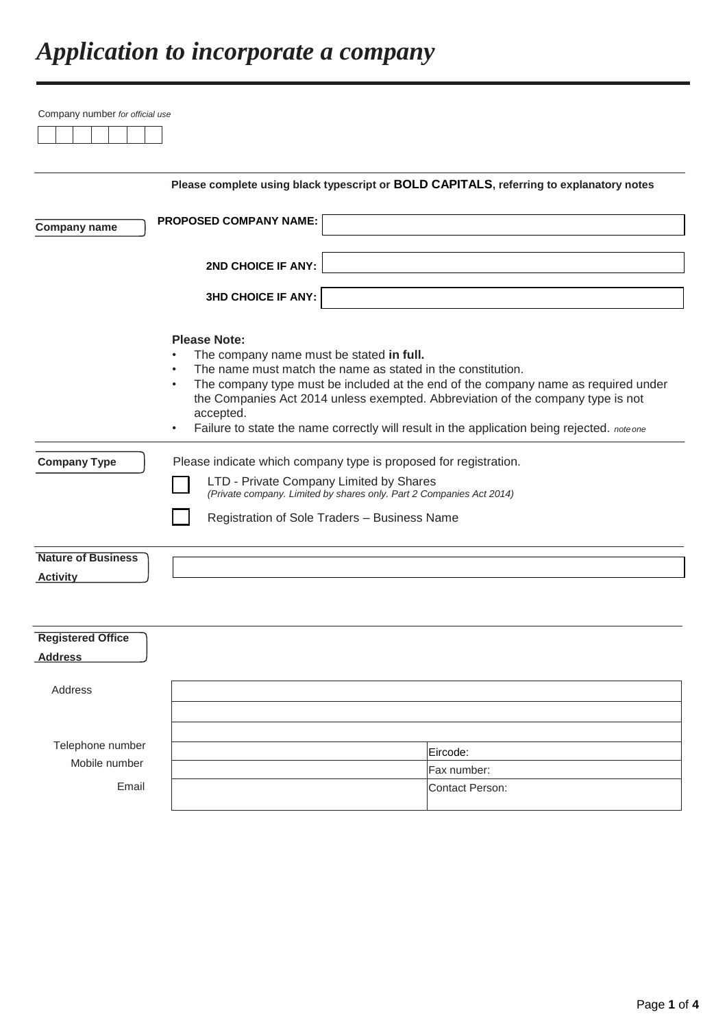|                           |                                                                  | Please complete using black typescript or BOLD CAPITALS, referring to explanatory notes    |
|---------------------------|------------------------------------------------------------------|--------------------------------------------------------------------------------------------|
|                           | <b>PROPOSED COMPANY NAME:</b>                                    |                                                                                            |
| <b>Company name</b>       |                                                                  |                                                                                            |
|                           | 2ND CHOICE IF ANY:                                               |                                                                                            |
|                           | <b>3HD CHOICE IF ANY:</b>                                        |                                                                                            |
|                           |                                                                  |                                                                                            |
|                           | <b>Please Note:</b><br>The company name must be stated in full.  |                                                                                            |
|                           | $\bullet$                                                        | The name must match the name as stated in the constitution.                                |
|                           | $\bullet$                                                        | The company type must be included at the end of the company name as required under         |
|                           |                                                                  | the Companies Act 2014 unless exempted. Abbreviation of the company type is not            |
|                           | accepted.                                                        |                                                                                            |
|                           |                                                                  | Failure to state the name correctly will result in the application being rejected. noteone |
| <b>Company Type</b>       | Please indicate which company type is proposed for registration. |                                                                                            |
|                           | LTD - Private Company Limited by Shares                          |                                                                                            |
|                           |                                                                  | (Private company. Limited by shares only. Part 2 Companies Act 2014)                       |
|                           | Registration of Sole Traders - Business Name                     |                                                                                            |
| <b>Nature of Business</b> |                                                                  |                                                                                            |
| <b>Activity</b>           |                                                                  |                                                                                            |
|                           |                                                                  |                                                                                            |
|                           |                                                                  |                                                                                            |
| <b>Registered Office</b>  |                                                                  |                                                                                            |
| <b>Address</b>            |                                                                  |                                                                                            |
|                           |                                                                  |                                                                                            |
| Address                   |                                                                  |                                                                                            |
|                           |                                                                  |                                                                                            |
|                           |                                                                  |                                                                                            |
| Telephone number          |                                                                  | Eircode:                                                                                   |
| Mobile number             |                                                                  | Fax number:                                                                                |
| Email                     |                                                                  | Contact Person:                                                                            |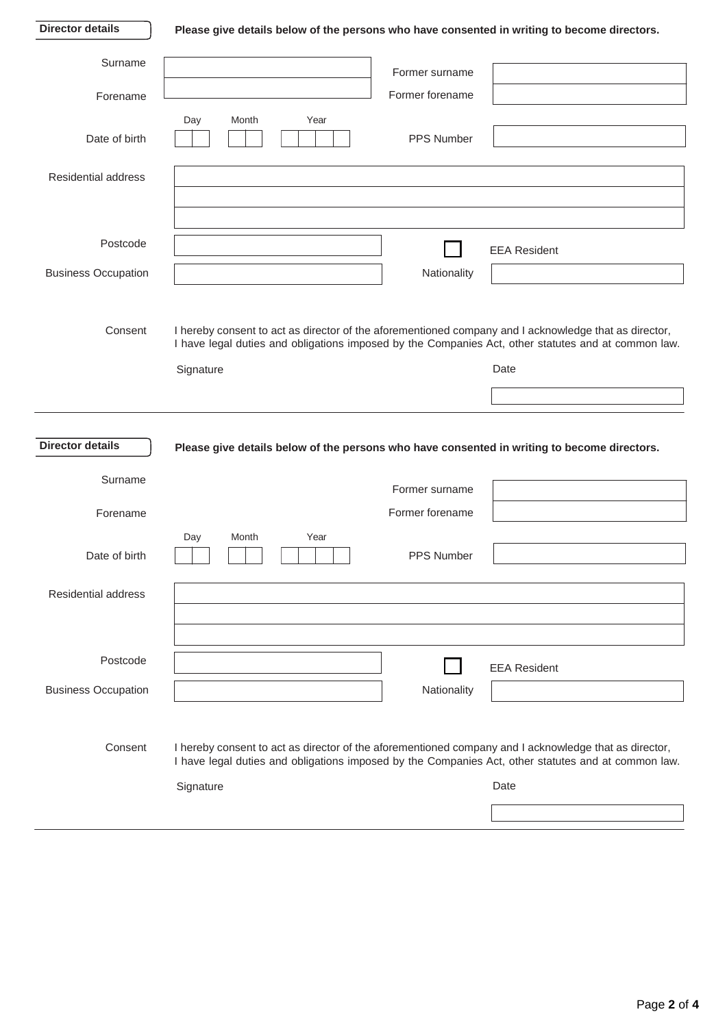**Director details**

## **Please give details below of the persons who have consented in writing to become directors.**

| Surname                    | Former surname                                                                                                                                                                                               |                     |
|----------------------------|--------------------------------------------------------------------------------------------------------------------------------------------------------------------------------------------------------------|---------------------|
| Forename                   | Former forename                                                                                                                                                                                              |                     |
|                            | Day<br>Month<br>Year                                                                                                                                                                                         |                     |
| Date of birth              | PPS Number                                                                                                                                                                                                   |                     |
| Residential address        |                                                                                                                                                                                                              |                     |
|                            |                                                                                                                                                                                                              |                     |
|                            |                                                                                                                                                                                                              |                     |
| Postcode                   |                                                                                                                                                                                                              | <b>EEA Resident</b> |
| <b>Business Occupation</b> | Nationality                                                                                                                                                                                                  |                     |
|                            |                                                                                                                                                                                                              |                     |
| Consent                    | I hereby consent to act as director of the aforementioned company and I acknowledge that as director,                                                                                                        |                     |
|                            | I have legal duties and obligations imposed by the Companies Act, other statutes and at common law.                                                                                                          |                     |
|                            | Signature                                                                                                                                                                                                    | Date                |
|                            |                                                                                                                                                                                                              |                     |
|                            |                                                                                                                                                                                                              |                     |
|                            |                                                                                                                                                                                                              |                     |
| <b>Director details</b>    | Please give details below of the persons who have consented in writing to become directors.                                                                                                                  |                     |
| Surname                    |                                                                                                                                                                                                              |                     |
|                            | Former surname<br>Former forename                                                                                                                                                                            |                     |
| Forename                   | Month<br>Year<br>Day                                                                                                                                                                                         |                     |
| Date of birth              | PPS Number                                                                                                                                                                                                   |                     |
|                            |                                                                                                                                                                                                              |                     |
| Residential address        |                                                                                                                                                                                                              |                     |
|                            |                                                                                                                                                                                                              |                     |
| Postcode                   |                                                                                                                                                                                                              | <b>EEA Resident</b> |
| <b>Business Occupation</b> | Nationality                                                                                                                                                                                                  |                     |
|                            |                                                                                                                                                                                                              |                     |
| Consent                    |                                                                                                                                                                                                              |                     |
|                            | I hereby consent to act as director of the aforementioned company and I acknowledge that as director,<br>I have legal duties and obligations imposed by the Companies Act, other statutes and at common law. |                     |
|                            | Signature                                                                                                                                                                                                    | Date                |
|                            |                                                                                                                                                                                                              |                     |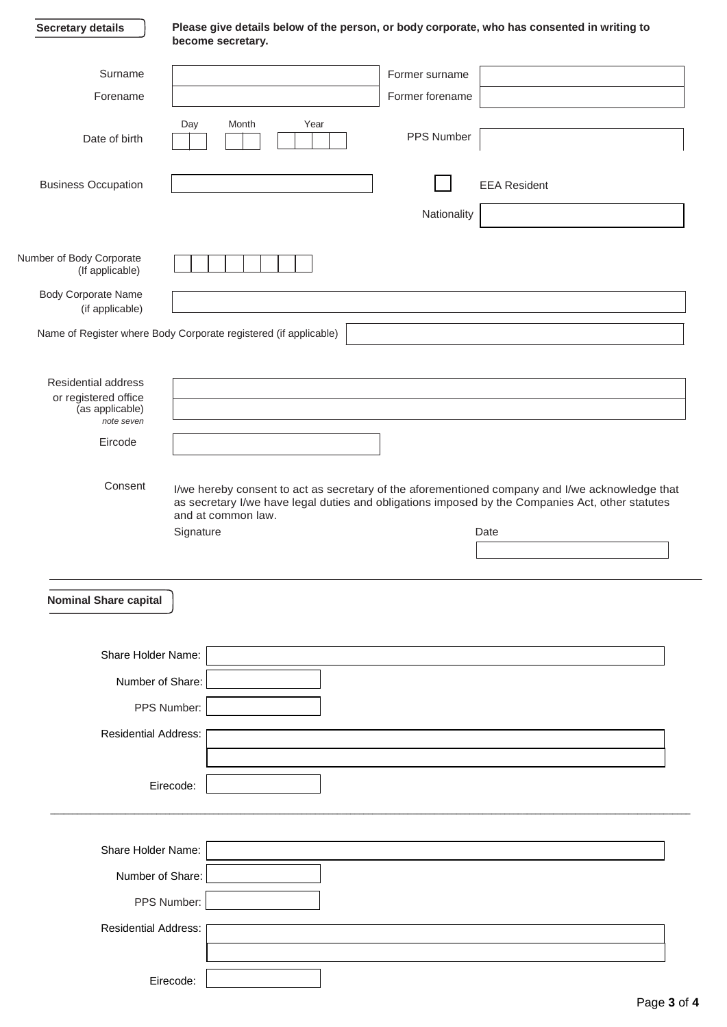| Secretary details |  |
|-------------------|--|
|-------------------|--|

**Please give details below of the person, or body corporate, who has consented in writing to become secretary.**

| Surname                       | Former surname                                                                                                         |
|-------------------------------|------------------------------------------------------------------------------------------------------------------------|
| Forename                      | Former forename                                                                                                        |
|                               | Day<br>Month<br>Year                                                                                                   |
| Date of birth                 | PPS Number                                                                                                             |
|                               |                                                                                                                        |
| <b>Business Occupation</b>    | <b>EEA Resident</b>                                                                                                    |
|                               |                                                                                                                        |
|                               | Nationality                                                                                                            |
| Number of Body Corporate      |                                                                                                                        |
| (If applicable)               |                                                                                                                        |
| Body Corporate Name           |                                                                                                                        |
| (if applicable)               |                                                                                                                        |
|                               | Name of Register where Body Corporate registered (if applicable)                                                       |
|                               |                                                                                                                        |
| <b>Residential address</b>    |                                                                                                                        |
| or registered office          |                                                                                                                        |
| (as applicable)<br>note seven |                                                                                                                        |
| Eircode                       |                                                                                                                        |
|                               |                                                                                                                        |
| Consent                       | I/we hereby consent to act as secretary of the aforementioned company and I/we acknowledge that                        |
|                               | as secretary I/we have legal duties and obligations imposed by the Companies Act, other statutes<br>and at common law. |
|                               | Signature<br>Date                                                                                                      |
|                               |                                                                                                                        |
|                               |                                                                                                                        |
| <b>Nominal Share capital</b>  |                                                                                                                        |
|                               |                                                                                                                        |
|                               |                                                                                                                        |
| Share Holder Name:            |                                                                                                                        |
|                               | Number of Share:                                                                                                       |
|                               | PPS Number:                                                                                                            |
|                               |                                                                                                                        |
| <b>Residential Address:</b>   |                                                                                                                        |
|                               |                                                                                                                        |
|                               | Eirecode:                                                                                                              |
|                               |                                                                                                                        |
|                               |                                                                                                                        |
| Share Holder Name:            |                                                                                                                        |
|                               | Number of Share:                                                                                                       |
|                               |                                                                                                                        |
|                               | PPS Number:                                                                                                            |
| <b>Residential Address:</b>   |                                                                                                                        |
|                               |                                                                                                                        |
|                               |                                                                                                                        |